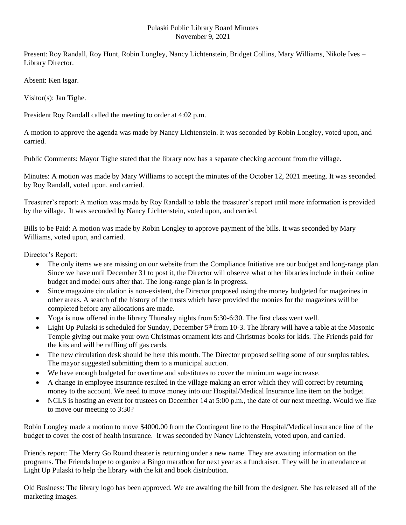## Pulaski Public Library Board Minutes November 9, 2021

Present: Roy Randall, Roy Hunt, Robin Longley, Nancy Lichtenstein, Bridget Collins, Mary Williams, Nikole Ives – Library Director.

Absent: Ken Isgar.

Visitor(s): Jan Tighe.

President Roy Randall called the meeting to order at 4:02 p.m.

A motion to approve the agenda was made by Nancy Lichtenstein. It was seconded by Robin Longley, voted upon, and carried.

Public Comments: Mayor Tighe stated that the library now has a separate checking account from the village.

Minutes: A motion was made by Mary Williams to accept the minutes of the October 12, 2021 meeting. It was seconded by Roy Randall, voted upon, and carried.

Treasurer's report: A motion was made by Roy Randall to table the treasurer's report until more information is provided by the village. It was seconded by Nancy Lichtenstein, voted upon, and carried.

Bills to be Paid: A motion was made by Robin Longley to approve payment of the bills. It was seconded by Mary Williams, voted upon, and carried.

Director's Report:

- The only items we are missing on our website from the Compliance Initiative are our budget and long-range plan. Since we have until December 31 to post it, the Director will observe what other libraries include in their online budget and model ours after that. The long-range plan is in progress.
- Since magazine circulation is non-existent, the Director proposed using the money budgeted for magazines in other areas. A search of the history of the trusts which have provided the monies for the magazines will be completed before any allocations are made.
- Yoga is now offered in the library Thursday nights from 5:30-6:30. The first class went well.
- Light Up Pulaski is scheduled for Sunday, December  $5<sup>th</sup>$  from 10-3. The library will have a table at the Masonic Temple giving out make your own Christmas ornament kits and Christmas books for kids. The Friends paid for the kits and will be raffling off gas cards.
- The new circulation desk should be here this month. The Director proposed selling some of our surplus tables. The mayor suggested submitting them to a municipal auction.
- We have enough budgeted for overtime and substitutes to cover the minimum wage increase.
- A change in employee insurance resulted in the village making an error which they will correct by returning money to the account. We need to move money into our Hospital/Medical Insurance line item on the budget.
- NCLS is hosting an event for trustees on December 14 at 5:00 p.m., the date of our next meeting. Would we like to move our meeting to 3:30?

Robin Longley made a motion to move \$4000.00 from the Contingent line to the Hospital/Medical insurance line of the budget to cover the cost of health insurance. It was seconded by Nancy Lichtenstein, voted upon, and carried.

Friends report: The Merry Go Round theater is returning under a new name. They are awaiting information on the programs. The Friends hope to organize a Bingo marathon for next year as a fundraiser. They will be in attendance at Light Up Pulaski to help the library with the kit and book distribution.

Old Business: The library logo has been approved. We are awaiting the bill from the designer. She has released all of the marketing images.